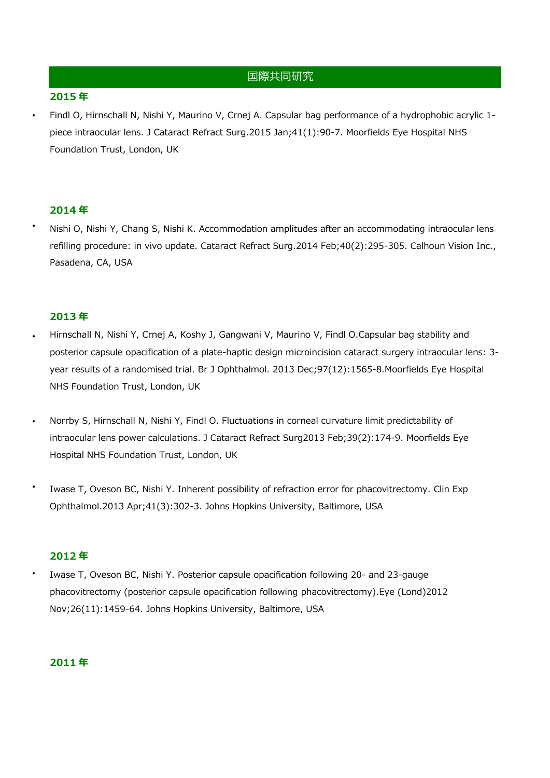# 国際共同研究

### **2015 年**

**・**

**・**

**・**

**・**

Findl O, Hirnschall N, Nishi Y, Maurino V, Crnej A. Capsular bag performance of a hydrophobic acrylic 1 piece intraocular lens. J Cataract Refract Surg.2015 Jan;41(1):90-7. Moorfields Eye Hospital NHS Foundation Trust, London, UK

### **2014 年**

Nishi O, Nishi Y, Chang S, Nishi K. Accommodation amplitudes after an accommodating intraocular lens refilling procedure: in vivo update. Cataract Refract Surg.2014 Feb;40(2):295-305. Calhoun Vision Inc., Pasadena, CA, USA

### **2013 年**

- Hirnschall N, Nishi Y, Crnej A, Koshy J, Gangwani V, Maurino V, Findl O.Capsular bag stability and posterior capsule opacification of a plate-haptic design microincision cataract surgery intraocular lens: 3 year results of a randomised trial. Br J Ophthalmol. 2013 Dec;97(12):1565-8.Moorfields Eye Hospital NHS Foundation Trust, London, UK **・**
	- Norrby S, Hirnschall N, Nishi Y, Findl O. Fluctuations in corneal curvature limit predictability of intraocular lens power calculations. J Cataract Refract Surg2013 Feb;39(2):174-9. Moorfields Eye Hospital NHS Foundation Trust, London, UK
- Iwase T, Oveson BC, Nishi Y. Inherent possibility of refraction error for phacovitrectomy. Clin Exp Ophthalmol.2013 Apr;41(3):302-3. Johns Hopkins University, Baltimore, USA **・**

# **2012 年**

Iwase T, Oveson BC, Nishi Y. Posterior capsule opacification following 20- and 23-gauge phacovitrectomy (posterior capsule opacification following phacovitrectomy).Eye (Lond)2012 Nov;26(11):1459-64. Johns Hopkins University, Baltimore, USA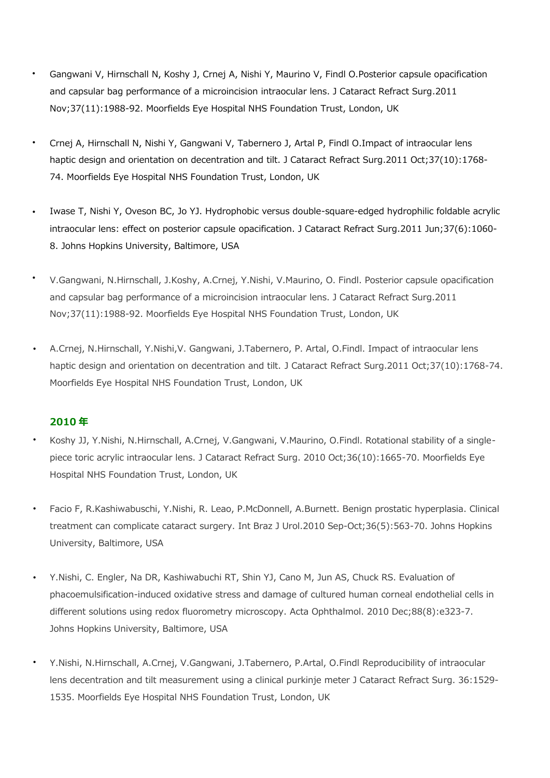- Gangwani V, Hirnschall N, Koshy J, Crnej A, Nishi Y, Maurino V, Findl O.Posterior capsule opacification and capsular bag performance of a microincision intraocular lens. J Cataract Refract Surg.2011 Nov;37(11):1988-92. Moorfields Eye Hospital NHS Foundation Trust, London, UK **・**
- Crnej A, Hirnschall N, Nishi Y, Gangwani V, Tabernero J, Artal P, Findl O.Impact of intraocular lens haptic design and orientation on decentration and tilt. J Cataract Refract Surg.2011 Oct;37(10):1768-74. Moorfields Eye Hospital NHS Foundation Trust, London, UK **・**
- Iwase T, Nishi Y, Oveson BC, Jo YJ. Hydrophobic versus double-square-edged hydrophilic foldable acrylic intraocular lens: effect on posterior capsule opacification. J Cataract Refract Surg.2011 Jun;37(6):1060- 8. Johns Hopkins University, Baltimore, USA **・**
- V.Gangwani, N.Hirnschall, J.Koshy, A.Crnej, Y.Nishi, V.Maurino, O. Findl. Posterior capsule opacification and capsular bag performance of a microincision intraocular lens. J Cataract Refract Surg.2011 Nov;37(11):1988-92. Moorfields Eye Hospital NHS Foundation Trust, London, UK **・**
- A.Crnej, N.Hirnschall, Y.Nishi,V. Gangwani, J.Tabernero, P. Artal, O.Findl. Impact of intraocular lens haptic design and orientation on decentration and tilt. J Cataract Refract Surg.2011 Oct;37(10):1768-74. Moorfields Eye Hospital NHS Foundation Trust, London, UK **・**

- Koshy JJ, Y.Nishi, N.Hirnschall, A.Crnej, V.Gangwani, V.Maurino, O.Findl. Rotational stability of a singlepiece toric acrylic intraocular lens. J Cataract Refract Surg. 2010 Oct;36(10):1665-70. Moorfields Eye Hospital NHS Foundation Trust, London, UK **・**
- Facio F, R.Kashiwabuschi, Y.Nishi, R. Leao, P.McDonnell, A.Burnett. Benign prostatic hyperplasia. Clinical treatment can complicate cataract surgery. Int Braz J Urol.2010 Sep-Oct;36(5):563-70. Johns Hopkins University, Baltimore, USA **・**
- Y.Nishi, C. Engler, Na DR, Kashiwabuchi RT, Shin YJ, Cano M, Jun AS, Chuck RS. Evaluation of phacoemulsification-induced oxidative stress and damage of cultured human corneal endothelial cells in different solutions using redox fluorometry microscopy. Acta Ophthalmol. 2010 Dec;88(8):e323-7. Johns Hopkins University, Baltimore, USA **・**
- Y.Nishi, N.Hirnschall, A.Crnej, V.Gangwani, J.Tabernero, P.Artal, O.Findl Reproducibility of intraocular lens decentration and tilt measurement using a clinical purkinje meter J Cataract Refract Surg. 36:1529- 1535. Moorfields Eye Hospital NHS Foundation Trust, London, UK **・**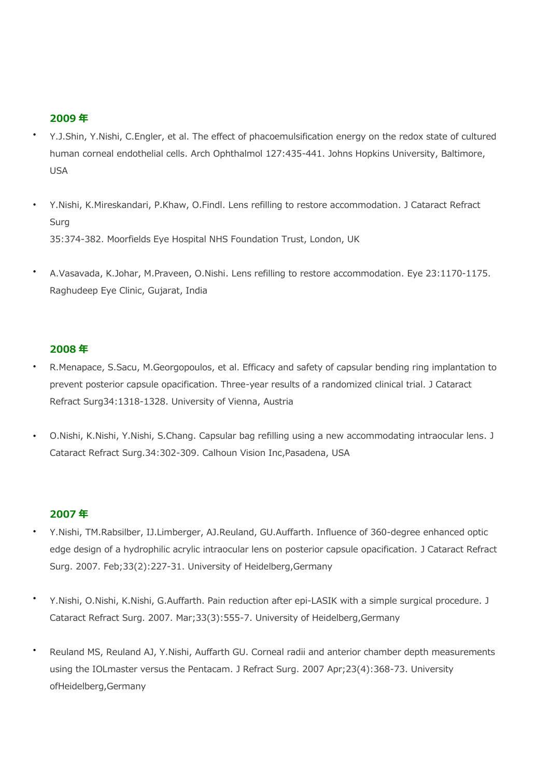### **2009 年**

- Y.J.Shin, Y.Nishi, C.Engler, et al. The effect of phacoemulsification energy on the redox state of cultured human corneal endothelial cells. Arch Ophthalmol 127:435-441. Johns Hopkins University, Baltimore, USA **・**
- Y.Nishi, K.Mireskandari, P.Khaw, O.Findl. Lens refilling to restore accommodation. J Cataract Refract Surg 35:374-382. Moorfields Eye Hospital NHS Foundation Trust, London, UK **・**
- A.Vasavada, K.Johar, M.Praveen, O.Nishi. Lens refilling to restore accommodation. Eye 23:1170-1175. Raghudeep Eye Clinic, Gujarat, India **・**

### **2008 年**

- R.Menapace, S.Sacu, M.Georgopoulos, et al. Efficacy and safety of capsular bending ring implantation to prevent posterior capsule opacification. Three-year results of a randomized clinical trial. J Cataract Refract Surg34:1318-1328. University of Vienna, Austria **・**
- O.Nishi, K.Nishi, Y.Nishi, S.Chang. Capsular bag refilling using a new accommodating intraocular lens. J Cataract Refract Surg.34:302-309. Calhoun Vision Inc,Pasadena, USA **・**

- Y.Nishi, TM.Rabsilber, IJ.Limberger, AJ.Reuland, GU.Auffarth. Influence of 360-degree enhanced optic edge design of a hydrophilic acrylic intraocular lens on posterior capsule opacification. J Cataract Refract Surg. 2007. Feb;33(2):227-31. University of Heidelberg,Germany **・**
- Y.Nishi, O.Nishi, K.Nishi, G.Auffarth. Pain reduction after epi-LASIK with a simple surgical procedure. J Cataract Refract Surg. 2007. Mar;33(3):555-7. University of Heidelberg,Germany **・**
- Reuland MS, Reuland AJ, Y.Nishi, Auffarth GU. Corneal radii and anterior chamber depth measurements using the IOLmaster versus the Pentacam. J Refract Surg. 2007 Apr;23(4):368-73. University ofHeidelberg,Germany **・**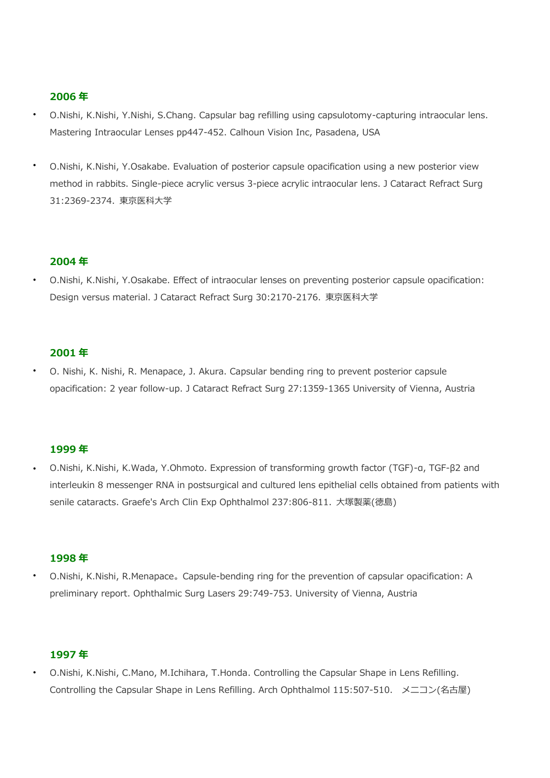### **2006 年**

- O.Nishi, K.Nishi, Y.Nishi, S.Chang. Capsular bag refilling using capsulotomy-capturing intraocular lens. Mastering Intraocular Lenses pp447-452. Calhoun Vision Inc, Pasadena, USA **・**
- O.Nishi, K.Nishi, Y.Osakabe. Evaluation of posterior capsule opacification using a new posterior view method in rabbits. Single-piece acrylic versus 3-piece acrylic intraocular lens. J Cataract Refract Surg 31:2369-2374. 東京医科大学 **・**

#### **2004 年**

O.Nishi, K.Nishi, Y.Osakabe. Effect of intraocular lenses on preventing posterior capsule opacification: Design versus material. J Cataract Refract Surg 30:2170-2176. 東京医科大学 **・**

#### **2001 年**

O. Nishi, K. Nishi, R. Menapace, J. Akura. Capsular bending ring to prevent posterior capsule opacification: 2 year follow-up. J Cataract Refract Surg 27:1359-1365 University of Vienna, Austria **・**

### **1999 年**

O.Nishi, K.Nishi, K.Wada, Y.Ohmoto. Expression of transforming growth factor (TGF)-α, TGF-β2 and interleukin 8 messenger RNA in postsurgical and cultured lens epithelial cells obtained from patients with senile cataracts. Graefe's Arch Clin Exp Ophthalmol 237:806-811. 大塚製薬(徳島) **・**

#### **1998 年**

O.Nishi, K.Nishi, R.Menapace。Capsule-bending ring for the prevention of capsular opacification: A preliminary report. Ophthalmic Surg Lasers 29:749-753. University of Vienna, Austria **・**

# **1997 年**

O.Nishi, K.Nishi, C.Mano, M.Ichihara, T.Honda. Controlling the Capsular Shape in Lens Refilling. Controlling the Capsular Shape in Lens Refilling. Arch Ophthalmol 115:507-510. メニコン(名古屋) **・**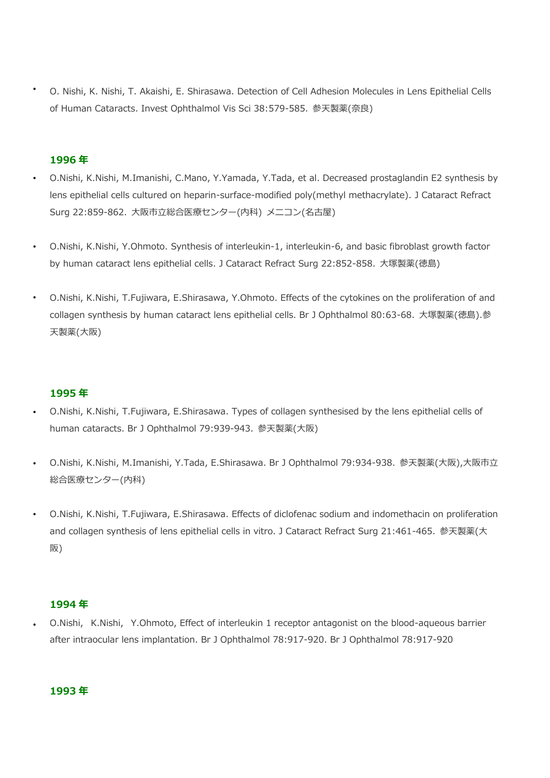O. Nishi, K. Nishi, T. Akaishi, E. Shirasawa. Detection of Cell Adhesion Molecules in Lens Epithelial Cells of Human Cataracts. Invest Ophthalmol Vis Sci 38:579-585. 参天製薬(奈良) **・**

## **1996 年**

- O.Nishi, K.Nishi, M.Imanishi, C.Mano, Y.Yamada, Y.Tada, et al. Decreased prostaglandin E2 synthesis by lens epithelial cells cultured on heparin-surface-modified poly(methyl methacrylate). J Cataract Refract Surg 22:859-862. 大阪市立総合医療センター(内科) メニコン(名古屋) **・**
- O.Nishi, K.Nishi, Y.Ohmoto. Synthesis of interleukin-1, interleukin-6, and basic fibroblast growth factor by human cataract lens epithelial cells. J Cataract Refract Surg 22:852-858. 大塚製薬(徳島) **・**
- O.Nishi, K.Nishi, T.Fujiwara, E.Shirasawa, Y.Ohmoto. Effects of the cytokines on the proliferation of and collagen synthesis by human cataract lens epithelial cells. Br J Ophthalmol 80:63-68. 大塚製薬(徳島).参 天製薬(大阪) **・**

### **1995 年**

- O.Nishi, K.Nishi, T.Fujiwara, E.Shirasawa. Types of collagen synthesised by the lens epithelial cells of human cataracts. Br J Ophthalmol 79:939-943. 参天製薬(大阪) **・**
- O.Nishi, K.Nishi, M.Imanishi, Y.Tada, E.Shirasawa. Br J Ophthalmol 79:934-938. 参天製薬(大阪),大阪市立 総合医療センター(内科) **・**
- O.Nishi, K.Nishi, T.Fujiwara, E.Shirasawa. Effects of diclofenac sodium and indomethacin on proliferation and collagen synthesis of lens epithelial cells in vitro. J Cataract Refract Surg 21:461-465. 参天製薬(大 阪) **・**

#### **1994 年**

O.Nishi, K.Nishi, Y.Ohmoto, Effect of interleukin 1 receptor antagonist on the blood-aqueous barrier after intraocular lens implantation. Br J Ophthalmol 78:917-920. Br J Ophthalmol 78:917-920 **・**